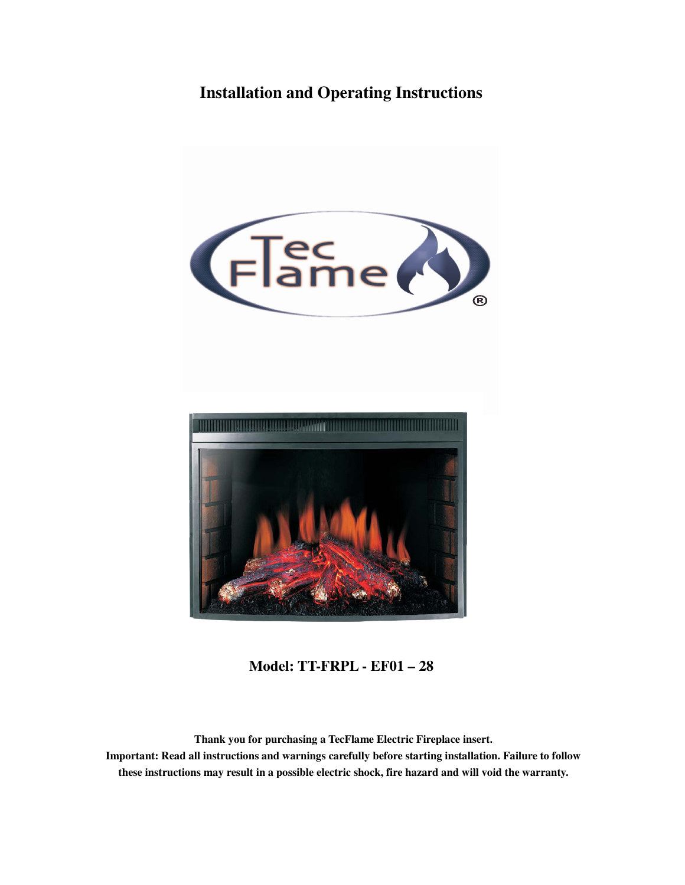# **Installation and Operating Instructions**





**Model: TT-FRPL - EF01 – 28** 

**Thank you for purchasing a TecFlame Electric Fireplace insert. Important: Read all instructions and warnings carefully before starting installation. Failure to follow these instructions may result in a possible electric shock, fire hazard and will void the warranty.**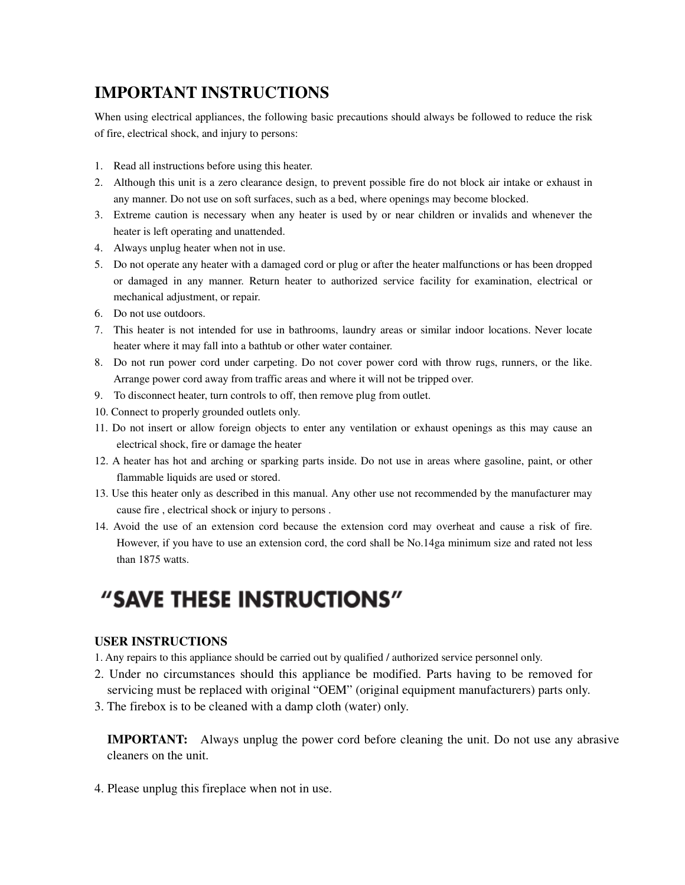# **IMPORTANT INSTRUCTIONS**

When using electrical appliances, the following basic precautions should always be followed to reduce the risk of fire, electrical shock, and injury to persons:

- 1. Read all instructions before using this heater.
- 2. Although this unit is a zero clearance design, to prevent possible fire do not block air intake or exhaust in any manner. Do not use on soft surfaces, such as a bed, where openings may become blocked.
- 3. Extreme caution is necessary when any heater is used by or near children or invalids and whenever the heater is left operating and unattended.
- 4. Always unplug heater when not in use.
- 5. Do not operate any heater with a damaged cord or plug or after the heater malfunctions or has been dropped or damaged in any manner. Return heater to authorized service facility for examination, electrical or mechanical adjustment, or repair.
- 6. Do not use outdoors.
- 7. This heater is not intended for use in bathrooms, laundry areas or similar indoor locations. Never locate heater where it may fall into a bathtub or other water container.
- 8. Do not run power cord under carpeting. Do not cover power cord with throw rugs, runners, or the like. Arrange power cord away from traffic areas and where it will not be tripped over.
- 9. To disconnect heater, turn controls to off, then remove plug from outlet.
- 10. Connect to properly grounded outlets only.
- 11. Do not insert or allow foreign objects to enter any ventilation or exhaust openings as this may cause an electrical shock, fire or damage the heater
- 12. A heater has hot and arching or sparking parts inside. Do not use in areas where gasoline, paint, or other flammable liquids are used or stored.
- 13. Use this heater only as described in this manual. Any other use not recommended by the manufacturer may cause fire , electrical shock or injury to persons .
- 14. Avoid the use of an extension cord because the extension cord may overheat and cause a risk of fire. However, if you have to use an extension cord, the cord shall be No.14ga minimum size and rated not less than 1875 watts.

# "SAVE THESE INSTRUCTIONS"

### **USER INSTRUCTIONS**

- 1. Any repairs to this appliance should be carried out by qualified / authorized service personnel only.
- 2. Under no circumstances should this appliance be modified. Parts having to be removed for servicing must be replaced with original "OEM" (original equipment manufacturers) parts only.
- 3. The firebox is to be cleaned with a damp cloth (water) only.

**IMPORTANT:** Always unplug the power cord before cleaning the unit. Do not use any abrasive cleaners on the unit.

4. Please unplug this fireplace when not in use.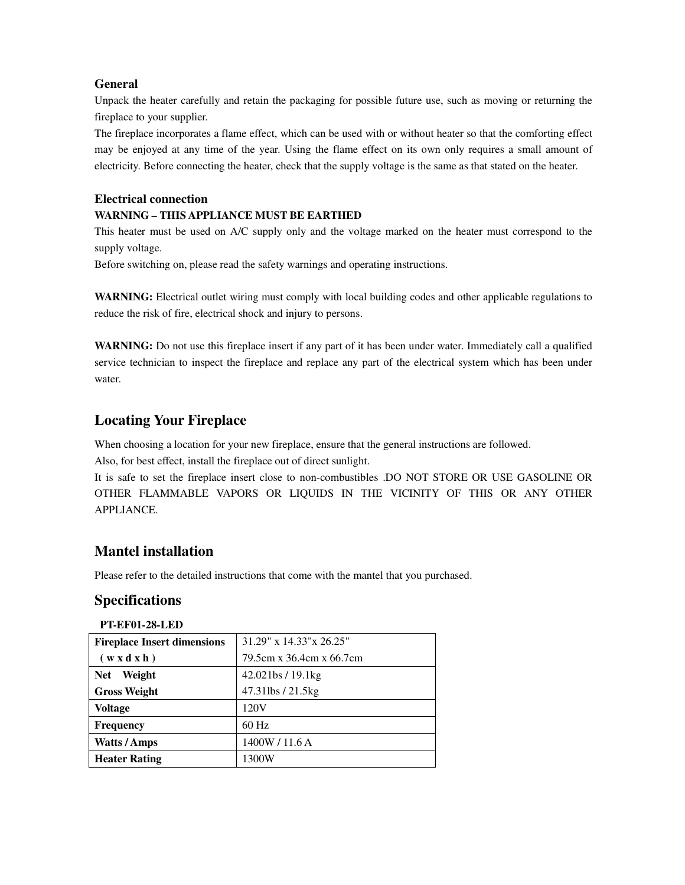### **General**

Unpack the heater carefully and retain the packaging for possible future use, such as moving or returning the fireplace to your supplier.

The fireplace incorporates a flame effect, which can be used with or without heater so that the comforting effect may be enjoyed at any time of the year. Using the flame effect on its own only requires a small amount of electricity. Before connecting the heater, check that the supply voltage is the same as that stated on the heater.

#### **Electrical connection**

### **WARNING – THIS APPLIANCE MUST BE EARTHED**

This heater must be used on A/C supply only and the voltage marked on the heater must correspond to the supply voltage.

Before switching on, please read the safety warnings and operating instructions.

**WARNING:** Electrical outlet wiring must comply with local building codes and other applicable regulations to reduce the risk of fire, electrical shock and injury to persons.

**WARNING:** Do not use this fireplace insert if any part of it has been under water. Immediately call a qualified service technician to inspect the fireplace and replace any part of the electrical system which has been under water.

### **Locating Your Fireplace**

When choosing a location for your new fireplace, ensure that the general instructions are followed.

Also, for best effect, install the fireplace out of direct sunlight.

It is safe to set the fireplace insert close to non-combustibles .DO NOT STORE OR USE GASOLINE OR OTHER FLAMMABLE VAPORS OR LIQUIDS IN THE VICINITY OF THIS OR ANY OTHER APPLIANCE.

### **Mantel installation**

Please refer to the detailed instructions that come with the mantel that you purchased.

### **Specifications**

#### **PT-EF01-28-LED**

| <b>Fireplace Insert dimensions</b> | 31.29" x 14.33" x 26.25" |
|------------------------------------|--------------------------|
| $(w \times d \times h)$            | 79.5cm x 36.4cm x 66.7cm |
| Weight<br><b>Net</b>               | 42.021bs/19.1kg          |
| <b>Gross Weight</b>                | 47.31lbs / 21.5kg        |
| <b>Voltage</b>                     | 120V                     |
| <b>Frequency</b>                   | $60$ Hz                  |
| <b>Watts/Amps</b>                  | 1400W / 11.6 A           |
| <b>Heater Rating</b>               | 1300W                    |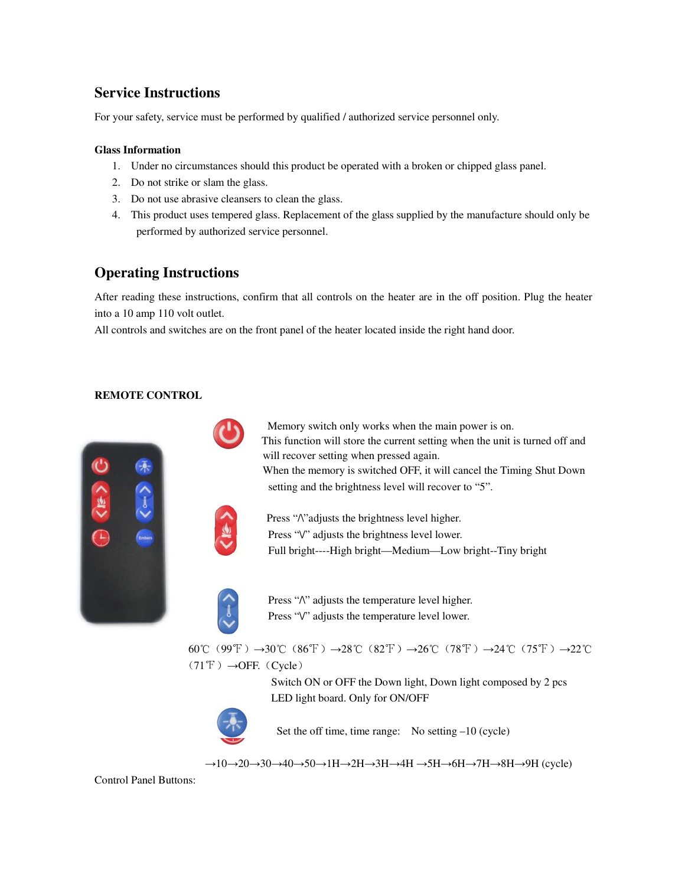### **Service Instructions**

For your safety, service must be performed by qualified / authorized service personnel only.

#### **Glass Information**

- 1. Under no circumstances should this product be operated with a broken or chipped glass panel.
- 2. Do not strike or slam the glass.
- 3. Do not use abrasive cleansers to clean the glass.
- 4. This product uses tempered glass. Replacement of the glass supplied by the manufacture should only be performed by authorized service personnel.

### **Operating Instructions**

After reading these instructions, confirm that all controls on the heater are in the off position. Plug the heater into a 10 amp 110 volt outlet.

All controls and switches are on the front panel of the heater located inside the right hand door.

#### **REMOTE CONTROL**



Switch ON or OFF the Down light, Down light composed by 2 pcs LED light board. Only for ON/OFF



Set the off time, time range: No setting –10 (cycle)

 $\rightarrow$ 10 $\rightarrow$ 20 $\rightarrow$ 30 $\rightarrow$ 40 $\rightarrow$ 50 $\rightarrow$ 1H $\rightarrow$ 2H $\rightarrow$ 3H $\rightarrow$ 4H $\rightarrow$ 5H $\rightarrow$ 6H $\rightarrow$ 7H $\rightarrow$ 8H $\rightarrow$ 9H $($ cycle)

Control Panel Buttons: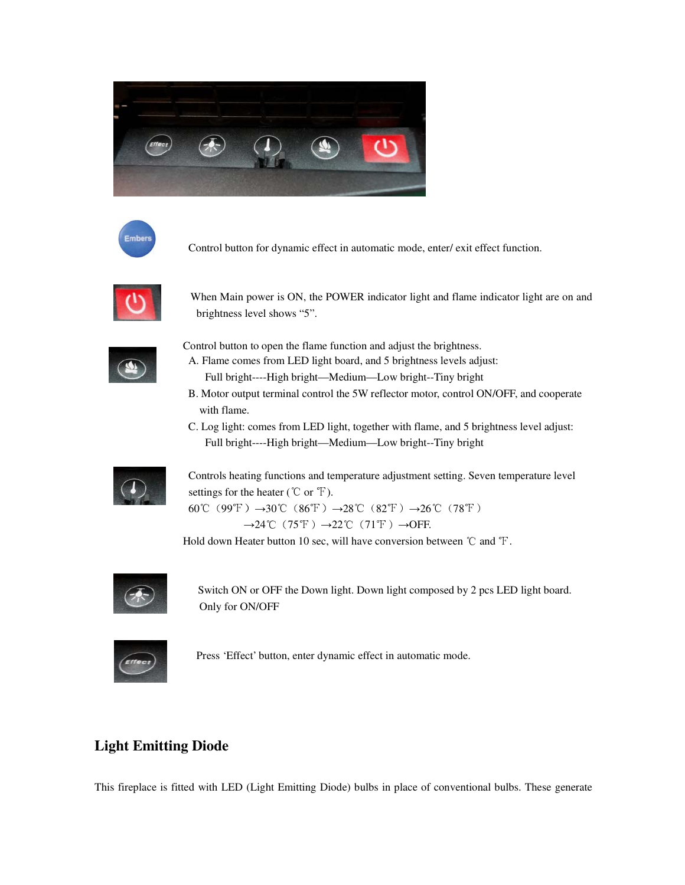



Control button for dynamic effect in automatic mode, enter/ exit effect function.



When Main power is ON, the POWER indicator light and flame indicator light are on and brightness level shows "5".



Control button to open the flame function and adjust the brightness.

- A. Flame comes from LED light board, and 5 brightness levels adjust: Full bright----High bright—Medium—Low bright--Tiny bright
- B. Motor output terminal control the 5W reflector motor, control ON/OFF, and cooperate with flame.
- C. Log light: comes from LED light, together with flame, and 5 brightness level adjust: Full bright----High bright—Medium—Low bright--Tiny bright



 Controls heating functions and temperature adjustment setting. Seven temperature level settings for the heater ( $\degree$ C or  $\degree$ F). 60℃(99°F)→30℃(86°F)→28°C(82°F)→26°C(78°F)

 $\rightarrow$ 24℃(75°F) $\rightarrow$ 22℃(71°F) $\rightarrow$ OFF.

Hold down Heater button 10 sec, will have conversion between ℃ and ℉.



Switch ON or OFF the Down light. Down light composed by 2 pcs LED light board. Only for ON/OFF



Press 'Effect' button, enter dynamic effect in automatic mode.

### **Light Emitting Diode**

This fireplace is fitted with LED (Light Emitting Diode) bulbs in place of conventional bulbs. These generate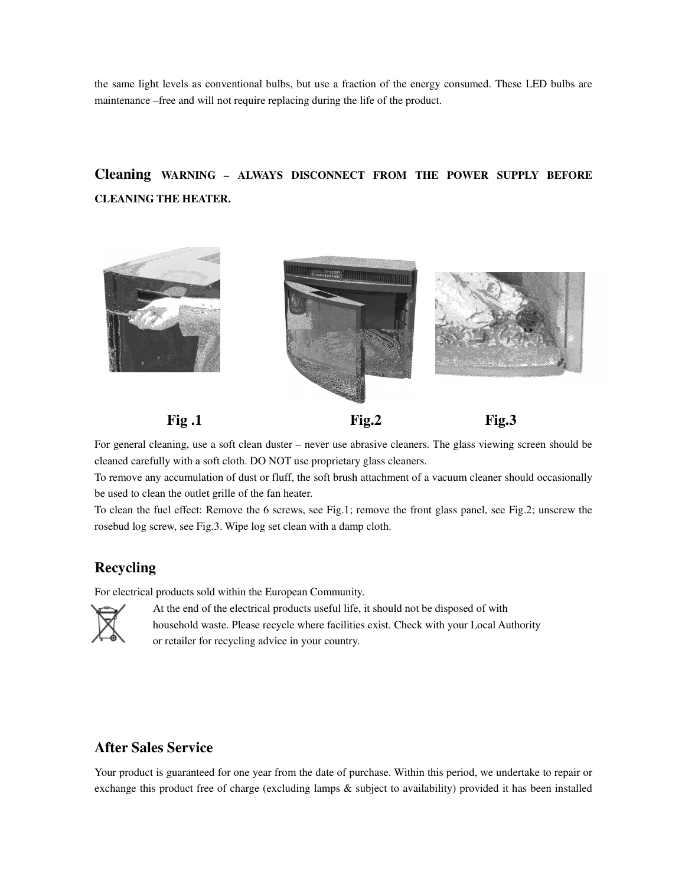the same light levels as conventional bulbs, but use a fraction of the energy consumed. These LED bulbs are maintenance –free and will not require replacing during the life of the product.

## **Cleaning WARNING – ALWAYS DISCONNECT FROM THE POWER SUPPLY BEFORE CLEANING THE HEATER.**



**Fig.2** Fig.3 **Fig.3** 

For general cleaning, use a soft clean duster – never use abrasive cleaners. The glass viewing screen should be cleaned carefully with a soft cloth. DO NOT use proprietary glass cleaners.

To remove any accumulation of dust or fluff, the soft brush attachment of a vacuum cleaner should occasionally be used to clean the outlet grille of the fan heater.

To clean the fuel effect: Remove the 6 screws, see Fig.1; remove the front glass panel, see Fig.2; unscrew the rosebud log screw, see Fig.3. Wipe log set clean with a damp cloth.

### **Recycling**

For electrical products sold within the European Community.



 At the end of the electrical products useful life, it should not be disposed of with household waste. Please recycle where facilities exist. Check with your Local Authority or retailer for recycling advice in your country.

### **After Sales Service**

Your product is guaranteed for one year from the date of purchase. Within this period, we undertake to repair or exchange this product free of charge (excluding lamps & subject to availability) provided it has been installed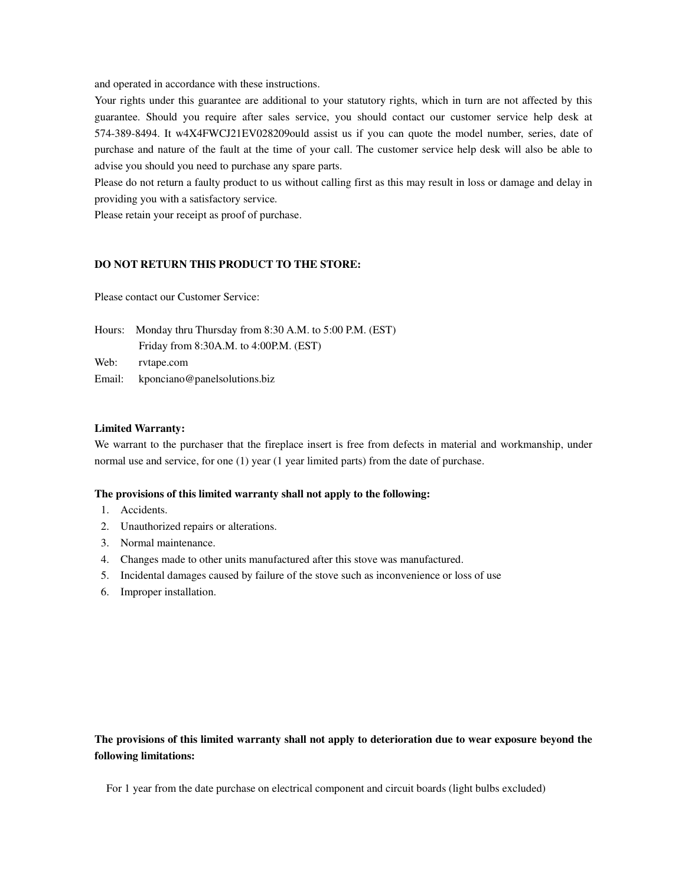and operated in accordance with these instructions.

Your rights under this guarantee are additional to your statutory rights, which in turn are not affected by this guarantee. Should you require after sales service, you should contact our customer service help desk at 574-389-8494. It w4X4FWCJ21EV028209ould assist us if you can quote the model number, series, date of purchase and nature of the fault at the time of your call. The customer service help desk will also be able to advise you should you need to purchase any spare parts.

Please do not return a faulty product to us without calling first as this may result in loss or damage and delay in providing you with a satisfactory service.

Please retain your receipt as proof of purchase.

#### **DO NOT RETURN THIS PRODUCT TO THE STORE:**

Please contact our Customer Service:

|        | Hours: Monday thru Thursday from 8:30 A.M. to 5:00 P.M. (EST) |  |
|--------|---------------------------------------------------------------|--|
|        | Friday from $8:30A.M.$ to $4:00P.M.$ (EST)                    |  |
| Web:   | rvtape.com                                                    |  |
| Email: | kponciano@panelsolutions.biz                                  |  |

#### **Limited Warranty:**

We warrant to the purchaser that the fireplace insert is free from defects in material and workmanship, under normal use and service, for one (1) year (1 year limited parts) from the date of purchase.

#### **The provisions of this limited warranty shall not apply to the following:**

- 1. Accidents.
- 2. Unauthorized repairs or alterations.
- 3. Normal maintenance.
- 4. Changes made to other units manufactured after this stove was manufactured.
- 5. Incidental damages caused by failure of the stove such as inconvenience or loss of use
- 6. Improper installation.

### **The provisions of this limited warranty shall not apply to deterioration due to wear exposure beyond the following limitations:**

For 1 year from the date purchase on electrical component and circuit boards (light bulbs excluded)